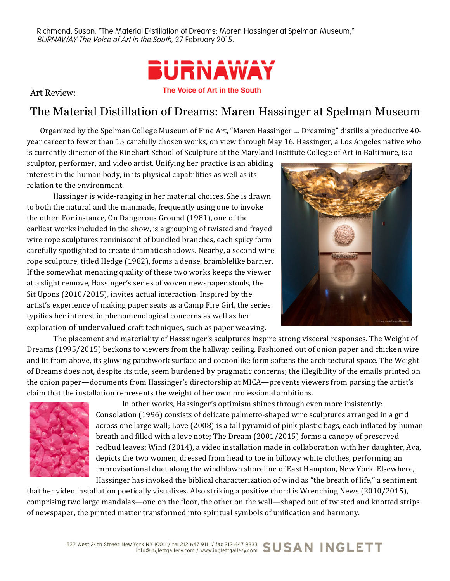Richmond, Susan. "The Material Distillation of Dreams: Maren Hassinger at Spelman Museum," BURNAWAY The Voice of Art in the South, 27 February 2015.



Art Review:

## The Material Distillation of Dreams: Maren Hassinger at Spelman Museum

Organized by the Spelman College Museum of Fine Art, "Maren Hassinger ... Dreaming" distills a productive 40year career to fewer than 15 carefully chosen works, on view through May 16. Hassinger, a Los Angeles native who is currently director of the Rinehart School of Sculpture at the Maryland Institute College of Art in Baltimore, is a

sculptor, performer, and video artist. Unifying her practice is an abiding interest in the human body, in its physical capabilities as well as its relation to the environment.

Hassinger is wide-ranging in her material choices. She is drawn to both the natural and the manmade, frequently using one to invoke the other. For instance, On Dangerous Ground (1981), one of the earliest works included in the show, is a grouping of twisted and frayed wire rope sculptures reminiscent of bundled branches, each spiky form carefully spotlighted to create dramatic shadows. Nearby, a second wire rope sculpture, titled Hedge (1982), forms a dense, bramblelike barrier. If the somewhat menacing quality of these two works keeps the viewer at a slight remove, Hassinger's series of woven newspaper stools, the Sit Upons  $(2010/2015)$ , invites actual interaction. Inspired by the artist's experience of making paper seats as a Camp Fire Girl, the series typifies her interest in phenomenological concerns as well as her exploration of undervalued craft techniques, such as paper weaving.



The placement and materiality of Hasssinger's sculptures inspire strong visceral responses. The Weight of Dreams (1995/2015) beckons to viewers from the hallway ceiling. Fashioned out of onion paper and chicken wire and lit from above, its glowing patchwork surface and cocoonlike form softens the architectural space. The Weight of Dreams does not, despite its title, seem burdened by pragmatic concerns; the illegibility of the emails printed on the onion paper—documents from Hassinger's directorship at MICA—prevents viewers from parsing the artist's claim that the installation represents the weight of her own professional ambitions.



In other works, Hassinger's optimism shines through even more insistently: Consolation (1996) consists of delicate palmetto-shaped wire sculptures arranged in a grid across one large wall; Love (2008) is a tall pyramid of pink plastic bags, each inflated by human breath and filled with a love note; The Dream  $(2001/2015)$  forms a canopy of preserved redbud leaves; Wind (2014), a video installation made in collaboration with her daughter, Ava, depicts the two women, dressed from head to toe in billowy white clothes, performing an improvisational duet along the windblown shoreline of East Hampton, New York. Elsewhere, Hassinger has invoked the biblical characterization of wind as "the breath of life," a sentiment

that her video installation poetically visualizes. Also striking a positive chord is Wrenching News (2010/2015), comprising two large mandalas—one on the floor, the other on the wall—shaped out of twisted and knotted strips of newspaper, the printed matter transformed into spiritual symbols of unification and harmony.